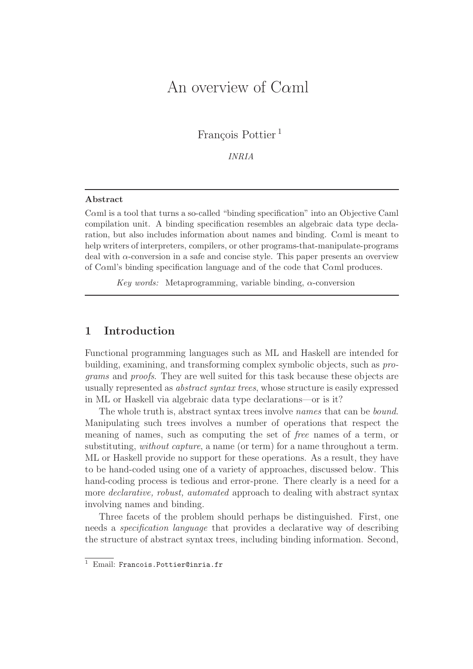# An overview of Cαml

François Pottier<sup>1</sup>

*INRIA*

#### Abstract

Cαml is a tool that turns a so-called "binding specification" into an Objective Caml compilation unit. A binding specification resembles an algebraic data type declaration, but also includes information about names and binding. Cαml is meant to help writers of interpreters, compilers, or other programs-that-manipulate-programs deal with α-conversion in a safe and concise style. This paper presents an overview of Cαml's binding specification language and of the code that Cαml produces.

*Key words:* Metaprogramming, variable binding, α-conversion

# 1 Introduction

Functional programming languages such as ML and Haskell are intended for building, examining, and transforming complex symbolic objects, such as *programs* and *proofs*. They are well suited for this task because these objects are usually represented as *abstract syntax trees*, whose structure is easily expressed in ML or Haskell via algebraic data type declarations—or is it?

The whole truth is, abstract syntax trees involve *names* that can be *bound*. Manipulating such trees involves a number of operations that respect the meaning of names, such as computing the set of *free* names of a term, or substituting, *without capture*, a name (or term) for a name throughout a term. ML or Haskell provide no support for these operations. As a result, they have to be hand-coded using one of a variety of approaches, discussed below. This hand-coding process is tedious and error-prone. There clearly is a need for a more *declarative, robust, automated* approach to dealing with abstract syntax involving names and binding.

Three facets of the problem should perhaps be distinguished. First, one needs a *specification language* that provides a declarative way of describing the structure of abstract syntax trees, including binding information. Second,

<sup>1</sup> Email: Francois.Pottier@inria.fr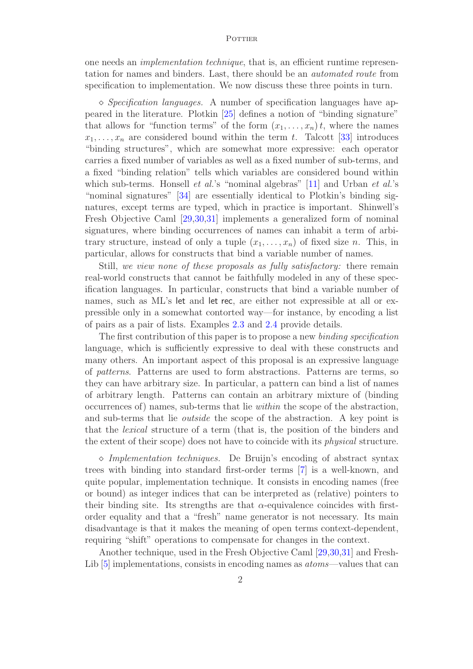one needs an *implementation technique*, that is, an efficient runtime representation for names and binders. Last, there should be an *automated route* from specification to implementation. We now discuss these three points in turn.

 $\Diamond$  *Specification languages.* A number of specification languages have appeared in the literature. Plotkin [25] defines a notion of "binding signature" that allows for "function terms" of the form  $(x_1, \ldots, x_n)t$ , where the names  $x_1, \ldots, x_n$  are considered bound within the term t. Talcott [33] introduces "binding structures", which are somewhat more expressive: each operator carries a fixed number of variables as well as a fixed number of sub-terms, and a fixed "binding relation" tells which variables are considered bound within which sub-terms. Honsell *et al.*'s "nominal algebras" [11] and Urban *et al.*'s "nominal signatures" [34] are essentially identical to Plotkin's binding signatures, except terms are typed, which in practice is important. Shinwell's Fresh Objective Caml [29,30,31] implements a generalized form of nominal signatures, where binding occurrences of names can inhabit a term of arbitrary structure, instead of only a tuple  $(x_1, \ldots, x_n)$  of fixed size n. This, in particular, allows for constructs that bind a variable number of names.

Still, *we view none of these proposals as fully satisfactory:* there remain real-world constructs that cannot be faithfully modeled in any of these specification languages. In particular, constructs that bind a variable number of names, such as ML's let and let rec, are either not expressible at all or expressible only in a somewhat contorted way—for instance, by encoding a list of pairs as a pair of lists. Examples 2.3 and 2.4 provide details.

The first contribution of this paper is to propose a new *binding specification* language, which is sufficiently expressive to deal with these constructs and many others. An important aspect of this proposal is an expressive language of *patterns*. Patterns are used to form abstractions. Patterns are terms, so they can have arbitrary size. In particular, a pattern can bind a list of names of arbitrary length. Patterns can contain an arbitrary mixture of (binding occurrences of) names, sub-terms that lie *within* the scope of the abstraction, and sub-terms that lie *outside* the scope of the abstraction. A key point is that the *lexical* structure of a term (that is, the position of the binders and the extent of their scope) does not have to coincide with its *physical* structure.

⋄ *Implementation techniques.* De Bruijn's encoding of abstract syntax trees with binding into standard first-order terms [7] is a well-known, and quite popular, implementation technique. It consists in encoding names (free or bound) as integer indices that can be interpreted as (relative) pointers to their binding site. Its strengths are that  $\alpha$ -equivalence coincides with firstorder equality and that a "fresh" name generator is not necessary. Its main disadvantage is that it makes the meaning of open terms context-dependent, requiring "shift" operations to compensate for changes in the context.

Another technique, used in the Fresh Objective Caml [29, 30, 31] and Fresh-Lib [5] implementations, consists in encoding names as *atoms*—values that can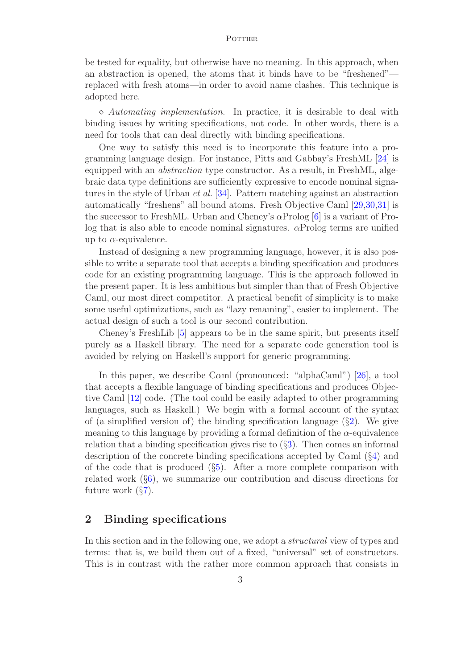be tested for equality, but otherwise have no meaning. In this approach, when an abstraction is opened, the atoms that it binds have to be "freshened" replaced with fresh atoms—in order to avoid name clashes. This technique is adopted here.

⋄ *Automating implementation.* In practice, it is desirable to deal with binding issues by writing specifications, not code. In other words, there is a need for tools that can deal directly with binding specifications.

One way to satisfy this need is to incorporate this feature into a programming language design. For instance, Pitts and Gabbay's FreshML [24] is equipped with an *abstraction* type constructor. As a result, in FreshML, algebraic data type definitions are sufficiently expressive to encode nominal signatures in the style of Urban *et al.* [34]. Pattern matching against an abstraction automatically "freshens" all bound atoms. Fresh Objective Caml [29,30,31] is the successor to FreshML. Urban and Cheney's  $\alpha$ Prolog [6] is a variant of Prolog that is also able to encode nominal signatures.  $\alpha$ Prolog terms are unified up to  $\alpha$ -equivalence.

Instead of designing a new programming language, however, it is also possible to write a separate tool that accepts a binding specification and produces code for an existing programming language. This is the approach followed in the present paper. It is less ambitious but simpler than that of Fresh Objective Caml, our most direct competitor. A practical benefit of simplicity is to make some useful optimizations, such as "lazy renaming", easier to implement. The actual design of such a tool is our second contribution.

Cheney's FreshLib [5] appears to be in the same spirit, but presents itself purely as a Haskell library. The need for a separate code generation tool is avoided by relying on Haskell's support for generic programming.

In this paper, we describe Cαml (pronounced: "alphaCaml") [26], a tool that accepts a flexible language of binding specifications and produces Objective Caml [12] code. (The tool could be easily adapted to other programming languages, such as Haskell.) We begin with a formal account of the syntax of (a simplified version of) the binding specification language  $(\S_2)$ . We give meaning to this language by providing a formal definition of the  $\alpha$ -equivalence relation that a binding specification gives rise to  $(\S 3)$ . Then comes an informal description of the concrete binding specifications accepted by Cαml (§4) and of the code that is produced  $(\S 5)$ . After a more complete comparison with related work (§6), we summarize our contribution and discuss directions for future work  $(\S7)$ .

# 2 Binding specifications

In this section and in the following one, we adopt a *structural* view of types and terms: that is, we build them out of a fixed, "universal" set of constructors. This is in contrast with the rather more common approach that consists in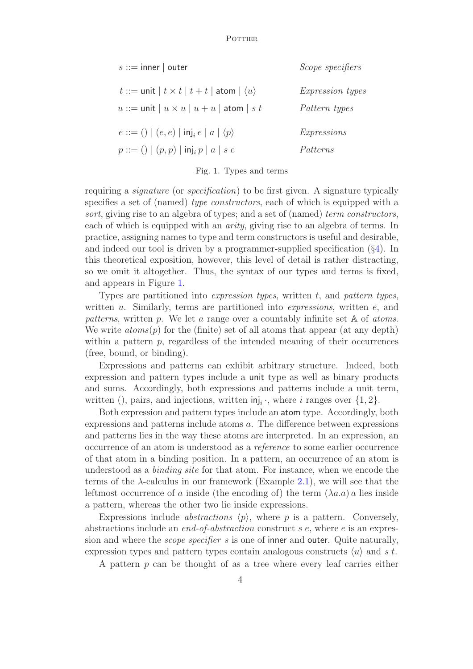| $s ::=$ inner   outer                                            | Scope specifiers        |
|------------------------------------------------------------------|-------------------------|
| $t ::=$ unit $ t \times t   t + t  $ atom $  \langle u \rangle$  | <i>Expression types</i> |
| $u ::=$ unit $ u \times u   u + u$ atom $ s t$                   | Pattern types           |
| $e ::= ()   (e, e)   \mathsf{inj}_{i} e   a   \langle p \rangle$ | <i>Expressions</i>      |
| $p ::= ()   (p, p)   \mathsf{inj}_i p   a   s e$                 | Patterns                |

#### Fig. 1. Types and terms

requiring a *signature* (or *specification*) to be first given. A signature typically specifies a set of (named) *type constructors*, each of which is equipped with a *sort*, giving rise to an algebra of types; and a set of (named) *term constructors*, each of which is equipped with an *arity*, giving rise to an algebra of terms. In practice, assigning names to type and term constructors is useful and desirable, and indeed our tool is driven by a programmer-supplied specification  $(\S 4)$ . In this theoretical exposition, however, this level of detail is rather distracting, so we omit it altogether. Thus, the syntax of our types and terms is fixed, and appears in Figure 1.

Types are partitioned into *expression types*, written t, and *pattern types*, written u. Similarly, terms are partitioned into *expressions*, written e, and *patterns*, written p. We let a range over a countably infinite set A of *atoms*. We write  $atoms(p)$  for the (finite) set of all atoms that appear (at any depth) within a pattern  $p$ , regardless of the intended meaning of their occurrences (free, bound, or binding).

Expressions and patterns can exhibit arbitrary structure. Indeed, both expression and pattern types include a unit type as well as binary products and sums. Accordingly, both expressions and patterns include a unit term, written (), pairs, and injections, written  $\text{inj}_i$ ; where i ranges over  $\{1, 2\}$ .

Both expression and pattern types include an atom type. Accordingly, both expressions and patterns include atoms a. The difference between expressions and patterns lies in the way these atoms are interpreted. In an expression, an occurrence of an atom is understood as a *reference* to some earlier occurrence of that atom in a binding position. In a pattern, an occurrence of an atom is understood as a *binding site* for that atom. For instance, when we encode the terms of the  $\lambda$ -calculus in our framework (Example 2.1), we will see that the leftmost occurrence of a inside (the encoding of) the term  $(\lambda a.a) a$  lies inside a pattern, whereas the other two lie inside expressions.

Expressions include *abstractions*  $\langle p \rangle$ , where p is a pattern. Conversely, abstractions include an *end-of-abstraction* construct s e, where e is an expression and where the *scope specifier* s is one of inner and outer. Quite naturally, expression types and pattern types contain analogous constructs  $\langle u \rangle$  and s t.

A pattern  $p$  can be thought of as a tree where every leaf carries either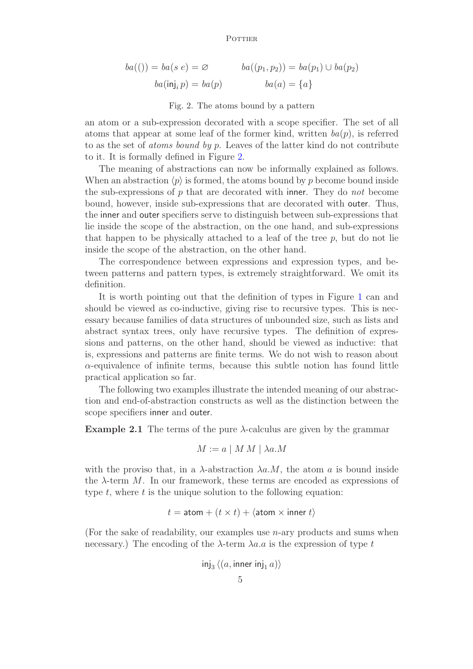$$
ba(()) = ba(s e) = \varnothing \qquad ba((p_1, p_2)) = ba(p_1) \cup ba(p_2)
$$

$$
ba(\mathsf{inj}_i p) = ba(p) \qquad ba(a) = \{a\}
$$

#### Fig. 2. The atoms bound by a pattern

an atom or a sub-expression decorated with a scope specifier. The set of all atoms that appear at some leaf of the former kind, written  $ba(p)$ , is referred to as the set of *atoms bound by* p. Leaves of the latter kind do not contribute to it. It is formally defined in Figure 2.

The meaning of abstractions can now be informally explained as follows. When an abstraction  $\langle p \rangle$  is formed, the atoms bound by p become bound inside the sub-expressions of p that are decorated with inner. They do *not* become bound, however, inside sub-expressions that are decorated with outer. Thus, the inner and outer specifiers serve to distinguish between sub-expressions that lie inside the scope of the abstraction, on the one hand, and sub-expressions that happen to be physically attached to a leaf of the tree  $p$ , but do not lie inside the scope of the abstraction, on the other hand.

The correspondence between expressions and expression types, and between patterns and pattern types, is extremely straightforward. We omit its definition.

It is worth pointing out that the definition of types in Figure 1 can and should be viewed as co-inductive, giving rise to recursive types. This is necessary because families of data structures of unbounded size, such as lists and abstract syntax trees, only have recursive types. The definition of expressions and patterns, on the other hand, should be viewed as inductive: that is, expressions and patterns are finite terms. We do not wish to reason about  $\alpha$ -equivalence of infinite terms, because this subtle notion has found little practical application so far.

The following two examples illustrate the intended meaning of our abstraction and end-of-abstraction constructs as well as the distinction between the scope specifiers inner and outer.

**Example 2.1** The terms of the pure  $\lambda$ -calculus are given by the grammar

$$
M := a \mid M M \mid \lambda a.M
$$

with the proviso that, in a  $\lambda$ -abstraction  $\lambda a.M$ , the atom a is bound inside the  $\lambda$ -term M. In our framework, these terms are encoded as expressions of type  $t$ , where  $t$  is the unique solution to the following equation:

$$
t = \text{atom} + (t \times t) + \langle \text{atom} \times \text{inner } t \rangle
$$

(For the sake of readability, our examples use n-ary products and sums when necessary.) The encoding of the  $\lambda$ -term  $\lambda a.a$  is the expression of type t

$$
\mathsf{inj}_3\left\langle (a,\mathsf{inner}\ \mathsf{inj}_1\ a)\right\rangle
$$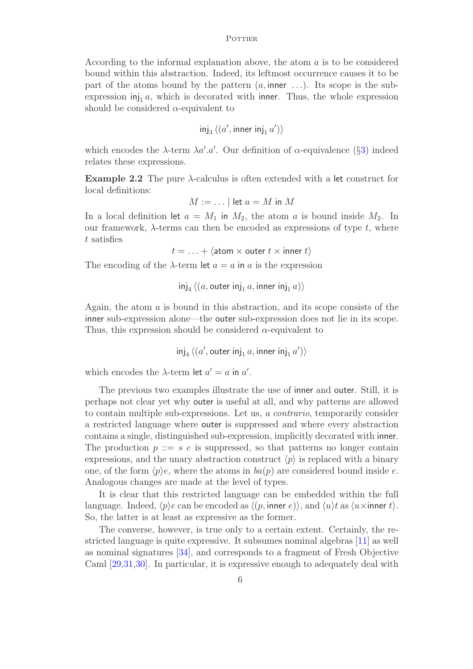According to the informal explanation above, the atom a is to be considered bound within this abstraction. Indeed, its leftmost occurrence causes it to be part of the atoms bound by the pattern  $(a, \text{inner} \dots)$ . Its scope is the subexpression  $\text{inj}_1 a$ , which is decorated with inner. Thus, the whole expression should be considered  $\alpha$ -equivalent to

$$
\mathsf{inj}_3 \langle (a', \mathsf{inner inj}_1 a') \rangle
$$

which encodes the  $\lambda$ -term  $\lambda a'. a'.$  Our definition of  $\alpha$ -equivalence (§3) indeed relates these expressions.

**Example 2.2** The pure  $\lambda$ -calculus is often extended with a let construct for local definitions:

$$
M:=\dots\mid \text{let } a=M \text{ in } M
$$

In a local definition let  $a = M_1$  in  $M_2$ , the atom a is bound inside  $M_2$ . In our framework,  $\lambda$ -terms can then be encoded as expressions of type t, where t satisfies

 $t = \ldots + \langle \text{atom} \times \text{outer} t \times \text{inner} t \rangle$ 

The encoding of the  $\lambda$ -term let  $a = a$  in a is the expression

inj $_4\left\langle (a,$  outer inj $_1\,a,$  inner inj $_1\,a)\right\rangle$ 

Again, the atom  $\alpha$  is bound in this abstraction, and its scope consists of the inner sub-expression alone—the outer sub-expression does not lie in its scope. Thus, this expression should be considered  $\alpha$ -equivalent to

 $\overline{\mathsf{inj}}_4\left\langle (a',\mathsf{outer}\ \mathsf{inj}_1\ a,\mathsf{inner}\ \mathsf{inj}_1\ a')\right\rangle$ 

which encodes the  $\lambda$ -term let  $a' = a$  in  $a'$ .

The previous two examples illustrate the use of inner and outer. Still, it is perhaps not clear yet why outer is useful at all, and why patterns are allowed to contain multiple sub-expressions. Let us, *a contrario*, temporarily consider a restricted language where outer is suppressed and where every abstraction contains a single, distinguished sub-expression, implicitly decorated with inner. The production  $p ::= s e$  is suppressed, so that patterns no longer contain expressions, and the unary abstraction construct  $\langle p \rangle$  is replaced with a binary one, of the form  $\langle p \rangle e$ , where the atoms in *ba*(*p*) are considered bound inside *e*. Analogous changes are made at the level of types.

It is clear that this restricted language can be embedded within the full language. Indeed,  $\langle p \rangle e$  can be encoded as  $\langle (p, \text{inner } e) \rangle$ , and  $\langle u \rangle t$  as  $\langle u \times \text{inner } t \rangle$ . So, the latter is at least as expressive as the former.

The converse, however, is true only to a certain extent. Certainly, the restricted language is quite expressive. It subsumes nominal algebras [11] as well as nominal signatures [34], and corresponds to a fragment of Fresh Objective Caml [29,31,30]. In particular, it is expressive enough to adequately deal with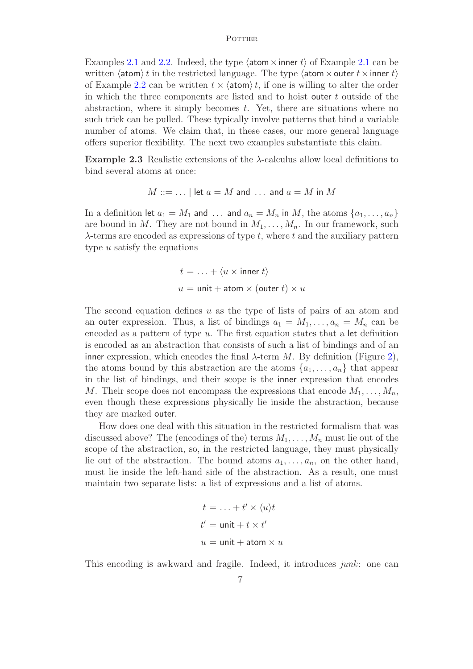Examples 2.1 and 2.2. Indeed, the type  $\langle \text{atom} \times \text{inner} t \rangle$  of Example 2.1 can be written  $\langle \text{atom} \rangle t$  in the restricted language. The type  $\langle \text{atom} \times \text{outer} t \times \text{inner} t \rangle$ of Example 2.2 can be written  $t \times \langle \text{atom} \rangle t$ , if one is willing to alter the order in which the three components are listed and to hoist outer t outside of the abstraction, where it simply becomes  $t$ . Yet, there are situations where no such trick can be pulled. These typically involve patterns that bind a variable number of atoms. We claim that, in these cases, our more general language offers superior flexibility. The next two examples substantiate this claim.

Example 2.3 Realistic extensions of the  $\lambda$ -calculus allow local definitions to bind several atoms at once:

$$
M ::= \dots |
$$
 let  $a = M$  and  $\dots$  and  $a = M$  in M

In a definition let  $a_1 = M_1$  and ... and  $a_n = M_n$  in M, the atoms  $\{a_1, \ldots, a_n\}$ are bound in M. They are not bound in  $M_1, \ldots, M_n$ . In our framework, such  $\lambda$ -terms are encoded as expressions of type t, where t and the auxiliary pattern type  $u$  satisfy the equations

$$
t = \ldots + \langle u \times \text{inner } t \rangle
$$
  

$$
u = \text{unit} + \text{atom} \times (\text{outer } t) \times u
$$

The second equation defines  $u$  as the type of lists of pairs of an atom and an outer expression. Thus, a list of bindings  $a_1 = M_1, \ldots, a_n = M_n$  can be encoded as a pattern of type  $u$ . The first equation states that a let definition is encoded as an abstraction that consists of such a list of bindings and of an inner expression, which encodes the final  $\lambda$ -term M. By definition (Figure 2), the atoms bound by this abstraction are the atoms  $\{a_1, \ldots, a_n\}$  that appear in the list of bindings, and their scope is the inner expression that encodes M. Their scope does not encompass the expressions that encode  $M_1, \ldots, M_n$ , even though these expressions physically lie inside the abstraction, because they are marked outer.

How does one deal with this situation in the restricted formalism that was discussed above? The (encodings of the) terms  $M_1, \ldots, M_n$  must lie out of the scope of the abstraction, so, in the restricted language, they must physically lie out of the abstraction. The bound atoms  $a_1, \ldots, a_n$ , on the other hand, must lie inside the left-hand side of the abstraction. As a result, one must maintain two separate lists: a list of expressions and a list of atoms.

$$
t = \ldots + t' \times \langle u \rangle t
$$
  

$$
t' = \text{unit} + t \times t'
$$
  

$$
u = \text{unit} + \text{atom} \times u
$$

This encoding is awkward and fragile. Indeed, it introduces *junk*: one can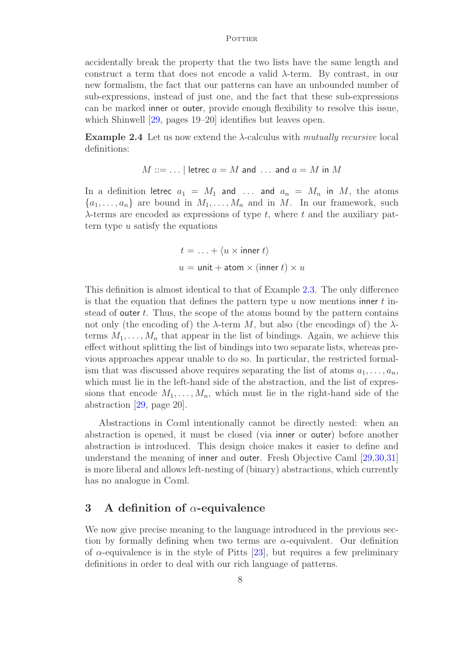accidentally break the property that the two lists have the same length and construct a term that does not encode a valid  $\lambda$ -term. By contrast, in our new formalism, the fact that our patterns can have an unbounded number of sub-expressions, instead of just one, and the fact that these sub-expressions can be marked inner or outer, provide enough flexibility to resolve this issue, which Shinwell [29, pages 19–20] identifies but leaves open.

Example 2.4 Let us now extend the λ-calculus with *mutually recursive* local definitions:

$$
M ::= \dots |
$$
 *letrec*  $a = M$  *and*  $\dots$  *and*  $a = M$  *in*  $M$ 

In a definition letrec  $a_1 = M_1$  and ... and  $a_n = M_n$  in M, the atoms  $\{a_1, \ldots, a_n\}$  are bound in  $M_1, \ldots, M_n$  and in M. In our framework, such  $\lambda$ -terms are encoded as expressions of type t, where t and the auxiliary pattern type  $u$  satisfy the equations

$$
t = \ldots + \langle u \times \text{inner } t \rangle
$$
  

$$
u = \text{unit} + \text{atom} \times (\text{inner } t) \times u
$$

This definition is almost identical to that of Example 2.3. The only difference is that the equation that defines the pattern type u now mentions inner t instead of outer  $t$ . Thus, the scope of the atoms bound by the pattern contains not only (the encoding of) the  $\lambda$ -term M, but also (the encodings of) the  $\lambda$ terms  $M_1, \ldots, M_n$  that appear in the list of bindings. Again, we achieve this effect without splitting the list of bindings into two separate lists, whereas previous approaches appear unable to do so. In particular, the restricted formalism that was discussed above requires separating the list of atoms  $a_1, \ldots, a_n$ , which must lie in the left-hand side of the abstraction, and the list of expressions that encode  $M_1, \ldots, M_n$ , which must lie in the right-hand side of the abstraction [29, page 20].

Abstractions in Cαml intentionally cannot be directly nested: when an abstraction is opened, it must be closed (via inner or outer) before another abstraction is introduced. This design choice makes it easier to define and understand the meaning of inner and outer. Fresh Objective Caml [29,30,31] is more liberal and allows left-nesting of (binary) abstractions, which currently has no analogue in Cαml.

# 3 A definition of  $\alpha$ -equivalence

We now give precise meaning to the language introduced in the previous section by formally defining when two terms are  $\alpha$ -equivalent. Our definition of  $\alpha$ -equivalence is in the style of Pitts [23], but requires a few preliminary definitions in order to deal with our rich language of patterns.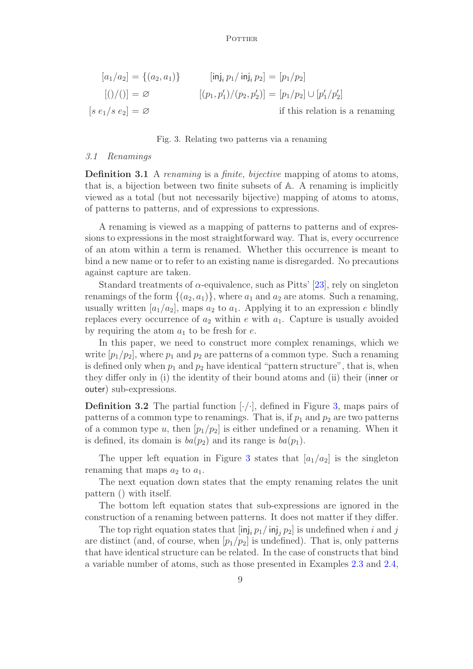$$
[a_1/a_2] = \{(a_2, a_1)\} \qquad \qquad [\text{inj}_i p_1/\text{inj}_i p_2] = [p_1/p_2]
$$

$$
[(\text{I})/(\text{I})] = \varnothing \qquad \qquad [(p_1, p_1')/(p_2, p_2')] = [p_1/p_2] \cup [p_1'/p_2']
$$

$$
[s e_1/s e_2] = \varnothing \qquad \qquad \text{if this relation is a renaming}
$$

#### Fig. 3. Relating two patterns via a renaming

#### *3.1 Renamings*

Definition 3.1 A *renaming* is a *finite, bijective* mapping of atoms to atoms, that is, a bijection between two finite subsets of A. A renaming is implicitly viewed as a total (but not necessarily bijective) mapping of atoms to atoms, of patterns to patterns, and of expressions to expressions.

A renaming is viewed as a mapping of patterns to patterns and of expressions to expressions in the most straightforward way. That is, every occurrence of an atom within a term is renamed. Whether this occurrence is meant to bind a new name or to refer to an existing name is disregarded. No precautions against capture are taken.

Standard treatments of  $\alpha$ -equivalence, such as Pitts' [23], rely on singleton renamings of the form  $\{(a_2, a_1)\}\$ , where  $a_1$  and  $a_2$  are atoms. Such a renaming, usually written  $[a_1/a_2]$ , maps  $a_2$  to  $a_1$ . Applying it to an expression e blindly replaces every occurrence of  $a_2$  within e with  $a_1$ . Capture is usually avoided by requiring the atom  $a_1$  to be fresh for e.

In this paper, we need to construct more complex renamings, which we write  $[p_1/p_2]$ , where  $p_1$  and  $p_2$  are patterns of a common type. Such a renaming is defined only when  $p_1$  and  $p_2$  have identical "pattern structure", that is, when they differ only in (i) the identity of their bound atoms and (ii) their (inner or outer) sub-expressions.

**Definition 3.2** The partial function  $[\cdot/\cdot]$ , defined in Figure 3, maps pairs of patterns of a common type to renamings. That is, if  $p_1$  and  $p_2$  are two patterns of a common type u, then  $[p_1/p_2]$  is either undefined or a renaming. When it is defined, its domain is  $ba(p_2)$  and its range is  $ba(p_1)$ .

The upper left equation in Figure 3 states that  $a_1/a_2$  is the singleton renaming that maps  $a_2$  to  $a_1$ .

The next equation down states that the empty renaming relates the unit pattern () with itself.

The bottom left equation states that sub-expressions are ignored in the construction of a renaming between patterns. It does not matter if they differ.

The top right equation states that  $[\text{inj}_i p_1/\text{inj}_j p_2]$  is undefined when i and j are distinct (and, of course, when  $[p_1/p_2]$  is undefined). That is, only patterns that have identical structure can be related. In the case of constructs that bind a variable number of atoms, such as those presented in Examples 2.3 and 2.4,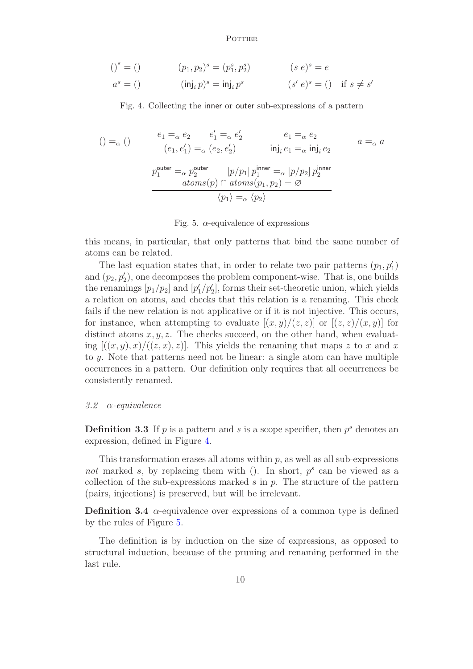$$
()s = () \t\t (p1, p2)s = (p1s, p2s) \t\t (s e)s = e
$$

$$
a^s = () \qquad (\mathsf{inj}_i \, p)^s = \mathsf{inj}_i \, p^s \qquad (s' \, e)^s = () \quad \text{if } s \neq s'
$$

Fig. 4. Collecting the inner or outer sub-expressions of a pattern

$$
( ) =_{\alpha} ()
$$
\n
$$
\frac{e_1 =_{\alpha} e_2 \qquad e'_1 =_{\alpha} e'_2}{(e_1, e'_1) =_{\alpha} (e_2, e'_2)}
$$
\n
$$
\frac{e_1 =_{\alpha} e_2}{\text{inj}_i e_1 =_{\alpha} \text{inj}_i e_2}
$$
\n
$$
p_1^{\text{outer}} =_{\alpha} p_2^{\text{outer}}
$$
\n
$$
\frac{[p/p_1] p_1^{\text{inner}}}{a \text{toms}(p) \cap \text{atoms}(p_1, p_2) = \varnothing}
$$
\n
$$
\frac{\langle p_1 \rangle =_{\alpha} \langle p_2 \rangle}{\langle p_1 \rangle =_{\alpha} \langle p_2 \rangle}
$$
\n
$$
\frac{\langle p_1 \rangle =_{\alpha} \langle p_2 \rangle}{\langle p_1 \rangle =_{\alpha} \langle p_2 \rangle}
$$

Fig. 5.  $\alpha$ -equivalence of expressions

this means, in particular, that only patterns that bind the same number of atoms can be related.

The last equation states that, in order to relate two pair patterns  $(p_1, p'_1)$ and  $(p_2, p'_2)$ , one decomposes the problem component-wise. That is, one builds the renamings  $[p_1/p_2]$  and  $[p'_1/p'_2]$ , forms their set-theoretic union, which yields a relation on atoms, and checks that this relation is a renaming. This check fails if the new relation is not applicative or if it is not injective. This occurs, for instance, when attempting to evaluate  $[(x, y)/(z, z)]$  or  $[(z, z)/(x, y)]$  for distinct atoms  $x, y, z$ . The checks succeed, on the other hand, when evaluating  $[(x, y), x) / ((z, x), z)]$ . This yields the renaming that maps z to x and x to y. Note that patterns need not be linear: a single atom can have multiple occurrences in a pattern. Our definition only requires that all occurrences be consistently renamed.

#### *3.2* α*-equivalence*

**Definition 3.3** If  $p$  is a pattern and  $s$  is a scope specifier, then  $p<sup>s</sup>$  denotes an expression, defined in Figure 4.

This transformation erases all atoms within  $p$ , as well as all sub-expressions not marked  $s$ , by replacing them with  $($ ). In short,  $p<sup>s</sup>$  can be viewed as a collection of the sub-expressions marked  $s$  in  $p$ . The structure of the pattern (pairs, injections) is preserved, but will be irrelevant.

**Definition 3.4**  $\alpha$ -equivalence over expressions of a common type is defined by the rules of Figure 5.

The definition is by induction on the size of expressions, as opposed to structural induction, because of the pruning and renaming performed in the last rule.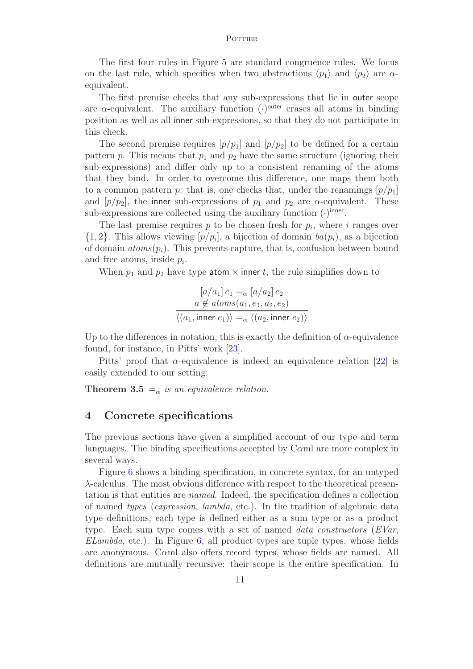The first four rules in Figure 5 are standard congruence rules. We focus on the last rule, which specifies when two abstractions  $\langle p_1 \rangle$  and  $\langle p_2 \rangle$  are  $\alpha$ equivalent.

The first premise checks that any sub-expressions that lie in outer scope are  $\alpha$ -equivalent. The auxiliary function  $(\cdot)^{outer}$  erases all atoms in binding position as well as all inner sub-expressions, so that they do not participate in this check.

The second premise requires  $[p/p_1]$  and  $[p/p_2]$  to be defined for a certain pattern  $p$ . This means that  $p_1$  and  $p_2$  have the same structure (ignoring their sub-expressions) and differ only up to a consistent renaming of the atoms that they bind. In order to overcome this difference, one maps them both to a common pattern p: that is, one checks that, under the renamings  $[p/p_1]$ and  $[p/p_2]$ , the inner sub-expressions of  $p_1$  and  $p_2$  are  $\alpha$ -equivalent. These sub-expressions are collected using the auxiliary function  $(\cdot)^{\text{inner}}$ .

The last premise requires  $p$  to be chosen fresh for  $p_i$ , where  $i$  ranges over  $\{1, 2\}$ . This allows viewing  $[p/p_i]$ , a bijection of domain  $ba(p_i)$ , as a bijection of domain  $atoms(p_i)$ . This prevents capture, that is, confusion between bound and free atoms, inside  $p_i$ .

When  $p_1$  and  $p_2$  have type atom  $\times$  inner t, the rule simplifies down to

$$
[a/a_1] e_1 =_{\alpha} [a/a_2] e_2
$$
  
\n
$$
a \notin atoms(a_1, e_1, a_2, e_2)
$$
  
\n
$$
\langle (a_1, \text{inner } e_1) \rangle =_{\alpha} \langle (a_2, \text{inner } e_2) \rangle
$$

Up to the differences in notation, this is exactly the definition of  $\alpha$ -equivalence found, for instance, in Pitts' work [23].

Pitts' proof that  $\alpha$ -equivalence is indeed an equivalence relation [22] is easily extended to our setting:

**Theorem 3.5**  $=_{\alpha}$  *is an equivalence relation.* 

### 4 Concrete specifications

The previous sections have given a simplified account of our type and term languages. The binding specifications accepted by Cαml are more complex in several ways.

Figure 6 shows a binding specification, in concrete syntax, for an untyped λ-calculus. The most obvious difference with respect to the theoretical presentation is that entities are *named*. Indeed, the specification defines a collection of named *types* (*expression*, *lambda*, etc.). In the tradition of algebraic data type definitions, each type is defined either as a sum type or as a product type. Each sum type comes with a set of named *data constructors* (*EVar*, *ELambda*, etc.). In Figure 6, all product types are tuple types, whose fields are anonymous. Cαml also offers record types, whose fields are named. All definitions are mutually recursive: their scope is the entire specification. In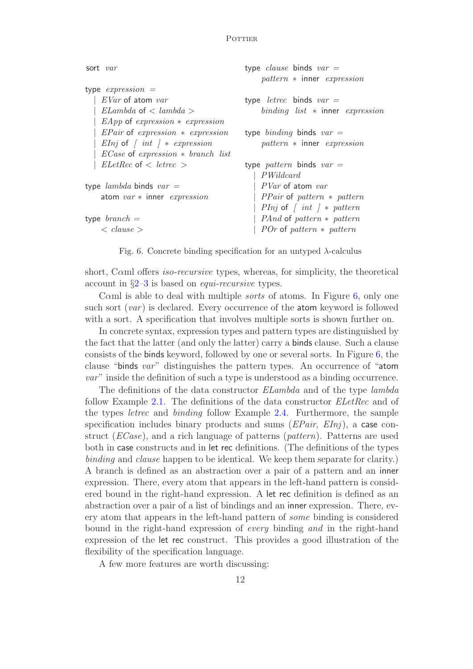| sort var                                   | type <i>clause</i> binds $var =$                  |
|--------------------------------------------|---------------------------------------------------|
|                                            | pattern * inner expression                        |
| type $expression =$                        |                                                   |
| EVar of atom var                           | type <i>letrec</i> binds $var =$                  |
| $ELambda \circ f < lambda >$               | binding list $*$ inner expression                 |
| $EApp$ of expression $*$ expression        |                                                   |
| $EPair$ of expression $*$ expression       | type <i>binding</i> binds $var =$                 |
| <i>EInj</i> of $\int int \, dx$ expression | pattern * inner expression                        |
| $ECase$ of expression $*$ branch list      |                                                   |
| $ELetRec$ of $\langle$ letrec $\rangle$    | type <i>pattern</i> binds $var =$                 |
|                                            | PWildcard                                         |
| type <i>lambda</i> binds $var =$           | <i>PVar</i> of atom var                           |
| atom $var$ * inner <i>expression</i>       | <i>PPair</i> of <i>pattern</i> $*$ <i>pattern</i> |
|                                            | <i>PInj</i> of $\int int \, dx$ pattern           |
| type $branch =$                            | <i>PAnd</i> of <i>pattern</i> $*$ <i>pattern</i>  |
| $\langle$ clause $\rangle$                 | <i>POr</i> of <i>pattern</i> $*$ <i>pattern</i>   |
|                                            |                                                   |

Fig. 6. Concrete binding specification for an untyped  $\lambda$ -calculus

short, Cαml offers *iso-recursive* types, whereas, for simplicity, the theoretical account in §2–3 is based on *equi-recursive* types.

Cαml is able to deal with multiple *sorts* of atoms. In Figure 6, only one such sort (*var* ) is declared. Every occurrence of the atom keyword is followed with a sort. A specification that involves multiple sorts is shown further on.

In concrete syntax, expression types and pattern types are distinguished by the fact that the latter (and only the latter) carry a binds clause. Such a clause consists of the binds keyword, followed by one or several sorts. In Figure 6, the clause "binds *var*" distinguishes the pattern types. An occurrence of "atom *var*" inside the definition of such a type is understood as a binding occurrence.

The definitions of the data constructor *ELambda* and of the type *lambda* follow Example 2.1. The definitions of the data constructor *ELetRec* and of the types *letrec* and *binding* follow Example 2.4. Furthermore, the sample specification includes binary products and sums (*EPair*, *EInj*), a case construct (*ECase*), and a rich language of patterns (*pattern*). Patterns are used both in case constructs and in let rec definitions. (The definitions of the types *binding* and *clause* happen to be identical. We keep them separate for clarity.) A branch is defined as an abstraction over a pair of a pattern and an inner expression. There, every atom that appears in the left-hand pattern is considered bound in the right-hand expression. A let rec definition is defined as an abstraction over a pair of a list of bindings and an inner expression. There, every atom that appears in the left-hand pattern of *some* binding is considered bound in the right-hand expression of *every* binding *and* in the right-hand expression of the let rec construct. This provides a good illustration of the flexibility of the specification language.

A few more features are worth discussing: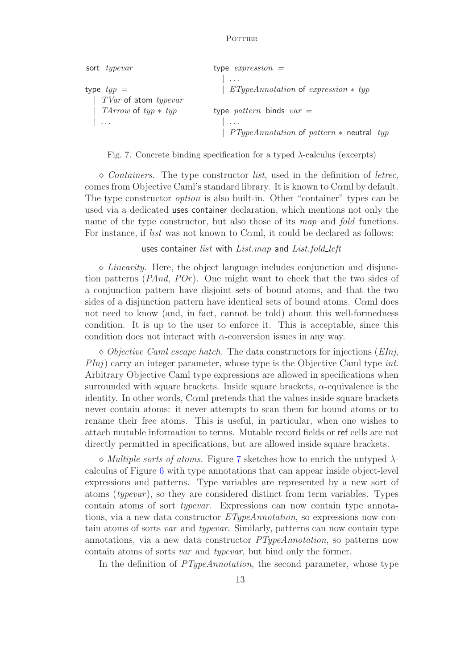| sort <i>typevar</i>     | type $expression =$                          |
|-------------------------|----------------------------------------------|
|                         | $\cdot$ $\cdot$ $\cdot$                      |
| type $typ =$            | $ETypeAnnotation$ of expression $*$ typ      |
| $TVar$ of atom typevar  |                                              |
| $TArrow$ of $typ * typ$ | type <i>pattern</i> binds $var =$            |
| $\vert \cdot \vert$     | $\cdots$                                     |
|                         | $PTypeAnnotation$ of pattern $*$ neutral typ |

Fig. 7. Concrete binding specification for a typed  $\lambda$ -calculus (excerpts)

⋄ *Containers.* The type constructor *list*, used in the definition of *letrec*, comes from Objective Caml's standard library. It is known to Cαml by default. The type constructor *option* is also built-in. Other "container" types can be used via a dedicated uses container declaration, which mentions not only the name of the type constructor, but also those of its *map* and *fold* functions. For instance, if *list* was not known to Cαml, it could be declared as follows:

uses container *list* with *List.map* and *List.fold left*

 $\Diamond$  *Linearity*. Here, the object language includes conjunction and disjunction patterns (*PAnd*, *POr* ). One might want to check that the two sides of a conjunction pattern have disjoint sets of bound atoms, and that the two sides of a disjunction pattern have identical sets of bound atoms. Caml does not need to know (and, in fact, cannot be told) about this well-formedness condition. It is up to the user to enforce it. This is acceptable, since this condition does not interact with  $\alpha$ -conversion issues in any way.

⋄ *Objective Caml escape hatch.* The data constructors for injections (*EInj*, *PInj*) carry an integer parameter, whose type is the Objective Caml type *int*. Arbitrary Objective Caml type expressions are allowed in specifications when surrounded with square brackets. Inside square brackets,  $\alpha$ -equivalence is the identity. In other words, C $\alpha$ ml pretends that the values inside square brackets never contain atoms: it never attempts to scan them for bound atoms or to rename their free atoms. This is useful, in particular, when one wishes to attach mutable information to terms. Mutable record fields or ref cells are not directly permitted in specifications, but are allowed inside square brackets.

 $\Diamond$  *Multiple sorts of atoms.* Figure 7 sketches how to enrich the untyped  $\lambda$ calculus of Figure 6 with type annotations that can appear inside object-level expressions and patterns. Type variables are represented by a new sort of atoms (*typevar*), so they are considered distinct from term variables. Types contain atoms of sort *typevar*. Expressions can now contain type annotations, via a new data constructor *ETypeAnnotation*, so expressions now contain atoms of sorts *var* and *typevar*. Similarly, patterns can now contain type annotations, via a new data constructor *PTypeAnnotation*, so patterns now contain atoms of sorts *var* and *typevar*, but bind only the former.

In the definition of *PTypeAnnotation*, the second parameter, whose type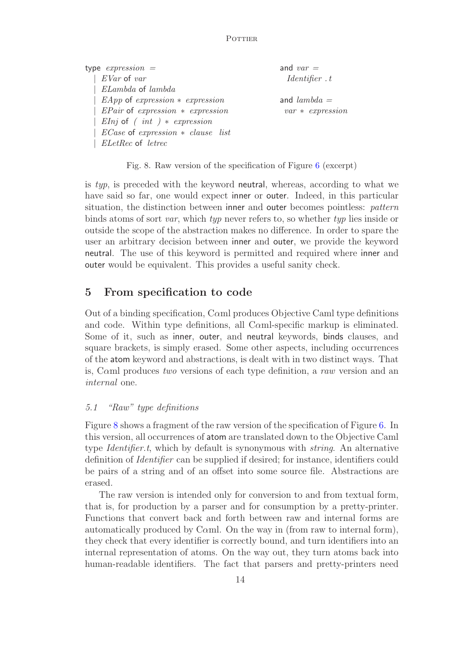| type $expression =$                   | and $var =$        |
|---------------------------------------|--------------------|
| $EVar$ of var                         | Identity. t        |
| ELambda of lambda                     |                    |
| $EApp$ of expression $*$ expression   | and $lambda =$     |
| $EPair$ of expression $*$ expression  | $var * expression$ |
| <i>EInj</i> of $(int) * expression$   |                    |
| $ECase$ of expression $*$ clause list |                    |
| <i>ELetRec</i> of <i>letrec</i>       |                    |

Fig. 8. Raw version of the specification of Figure 6 (excerpt)

is *typ*, is preceded with the keyword neutral, whereas, according to what we have said so far, one would expect inner or outer. Indeed, in this particular situation, the distinction between inner and outer becomes pointless: *pattern* binds atoms of sort *var*, which *typ* never refers to, so whether *typ* lies inside or outside the scope of the abstraction makes no difference. In order to spare the user an arbitrary decision between inner and outer, we provide the keyword neutral. The use of this keyword is permitted and required where inner and outer would be equivalent. This provides a useful sanity check.

# 5 From specification to code

Out of a binding specification, Cαml produces Objective Caml type definitions and code. Within type definitions, all Caml-specific markup is eliminated. Some of it, such as inner, outer, and neutral keywords, binds clauses, and square brackets, is simply erased. Some other aspects, including occurrences of the atom keyword and abstractions, is dealt with in two distinct ways. That is, Cαml produces *two* versions of each type definition, a *raw* version and an *internal* one.

# *5.1 "Raw" type definitions*

Figure 8 shows a fragment of the raw version of the specification of Figure 6. In this version, all occurrences of atom are translated down to the Objective Caml type *Identifier.t*, which by default is synonymous with *string*. An alternative definition of *Identifier* can be supplied if desired; for instance, identifiers could be pairs of a string and of an offset into some source file. Abstractions are erased.

The raw version is intended only for conversion to and from textual form, that is, for production by a parser and for consumption by a pretty-printer. Functions that convert back and forth between raw and internal forms are automatically produced by C $\alpha$ ml. On the way in (from raw to internal form), they check that every identifier is correctly bound, and turn identifiers into an internal representation of atoms. On the way out, they turn atoms back into human-readable identifiers. The fact that parsers and pretty-printers need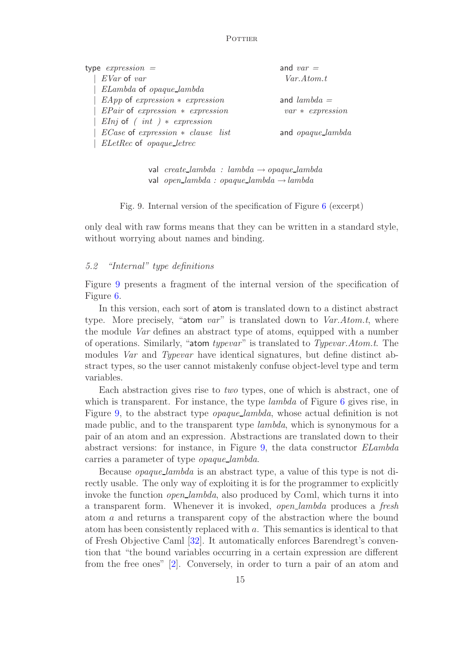| type $expression =$                   | and $var =$              |
|---------------------------------------|--------------------------|
| EVar of var                           | Var. Atom.t              |
| ELambda of opaque_lambda              |                          |
| $EApp$ of expression $*$ expression   | and $lambda =$           |
| $EPair$ of expression $*$ expression  | $var * expression$       |
| <i>EInj</i> of $(int) * expression$   |                          |
| $ECase$ of expression $*$ clause list | and <i>opaque_lambda</i> |
| ELetRec of opaque_letrec              |                          |

val *create lambda : lambda* → *opaque lambda* val *open lambda : opaque lambda* →*lambda*

Fig. 9. Internal version of the specification of Figure 6 (excerpt)

only deal with raw forms means that they can be written in a standard style, without worrying about names and binding.

#### *5.2 "Internal" type definitions*

Figure 9 presents a fragment of the internal version of the specification of Figure 6.

In this version, each sort of atom is translated down to a distinct abstract type. More precisely, "atom *var*" is translated down to *Var.Atom.t*, where the module *Var* defines an abstract type of atoms, equipped with a number of operations. Similarly, "atom *typevar*" is translated to *Typevar.Atom.t*. The modules *Var* and *Typevar* have identical signatures, but define distinct abstract types, so the user cannot mistakenly confuse object-level type and term variables.

Each abstraction gives rise to *two* types, one of which is abstract, one of which is transparent. For instance, the type *lambda* of Figure 6 gives rise, in Figure 9, to the abstract type *opaque lambda*, whose actual definition is not made public, and to the transparent type *lambda*, which is synonymous for a pair of an atom and an expression. Abstractions are translated down to their abstract versions: for instance, in Figure 9, the data constructor *ELambda* carries a parameter of type *opaque lambda*.

Because *opaque lambda* is an abstract type, a value of this type is not directly usable. The only way of exploiting it is for the programmer to explicitly invoke the function *open lambda*, also produced by Cαml, which turns it into a transparent form. Whenever it is invoked, *open lambda* produces a *fresh* atom a and returns a transparent copy of the abstraction where the bound atom has been consistently replaced with a. This semantics is identical to that of Fresh Objective Caml [32]. It automatically enforces Barendregt's convention that "the bound variables occurring in a certain expression are different from the free ones" [2]. Conversely, in order to turn a pair of an atom and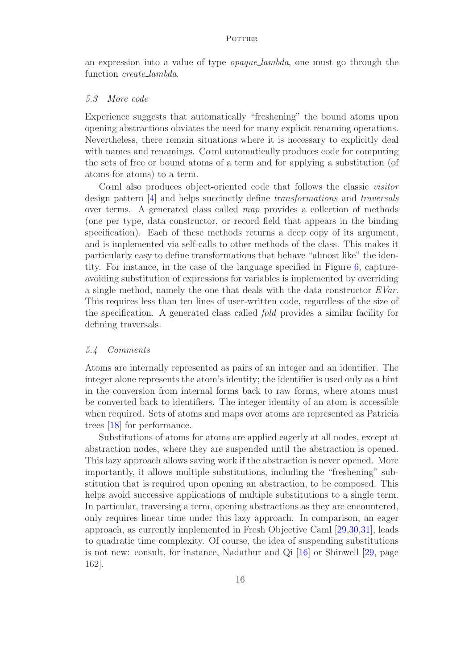an expression into a value of type *opaque lambda*, one must go through the function *create lambda*.

#### *5.3 More code*

Experience suggests that automatically "freshening" the bound atoms upon opening abstractions obviates the need for many explicit renaming operations. Nevertheless, there remain situations where it is necessary to explicitly deal with names and renamings. Caml automatically produces code for computing the sets of free or bound atoms of a term and for applying a substitution (of atoms for atoms) to a term.

Cαml also produces object-oriented code that follows the classic *visitor* design pattern [4] and helps succinctly define *transformations* and *traversals* over terms. A generated class called *map* provides a collection of methods (one per type, data constructor, or record field that appears in the binding specification). Each of these methods returns a deep copy of its argument, and is implemented via self-calls to other methods of the class. This makes it particularly easy to define transformations that behave "almost like" the identity. For instance, in the case of the language specified in Figure 6, captureavoiding substitution of expressions for variables is implemented by overriding a single method, namely the one that deals with the data constructor *EVar*. This requires less than ten lines of user-written code, regardless of the size of the specification. A generated class called *fold* provides a similar facility for defining traversals.

#### *5.4 Comments*

Atoms are internally represented as pairs of an integer and an identifier. The integer alone represents the atom's identity; the identifier is used only as a hint in the conversion from internal forms back to raw forms, where atoms must be converted back to identifiers. The integer identity of an atom is accessible when required. Sets of atoms and maps over atoms are represented as Patricia trees [18] for performance.

Substitutions of atoms for atoms are applied eagerly at all nodes, except at abstraction nodes, where they are suspended until the abstraction is opened. This lazy approach allows saving work if the abstraction is never opened. More importantly, it allows multiple substitutions, including the "freshening" substitution that is required upon opening an abstraction, to be composed. This helps avoid successive applications of multiple substitutions to a single term. In particular, traversing a term, opening abstractions as they are encountered, only requires linear time under this lazy approach. In comparison, an eager approach, as currently implemented in Fresh Objective Caml [29,30,31], leads to quadratic time complexity. Of course, the idea of suspending substitutions is not new: consult, for instance, Nadathur and Qi [16] or Shinwell [29, page 162].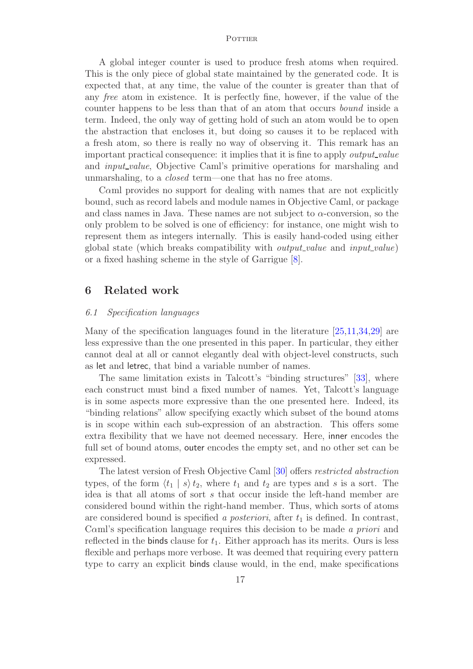A global integer counter is used to produce fresh atoms when required. This is the only piece of global state maintained by the generated code. It is expected that, at any time, the value of the counter is greater than that of any *free* atom in existence. It is perfectly fine, however, if the value of the counter happens to be less than that of an atom that occurs *bound* inside a term. Indeed, the only way of getting hold of such an atom would be to open the abstraction that encloses it, but doing so causes it to be replaced with a fresh atom, so there is really no way of observing it. This remark has an important practical consequence: it implies that it is fine to apply *output value* and *input value*, Objective Caml's primitive operations for marshaling and unmarshaling, to a *closed* term—one that has no free atoms.

Cαml provides no support for dealing with names that are not explicitly bound, such as record labels and module names in Objective Caml, or package and class names in Java. These names are not subject to  $\alpha$ -conversion, so the only problem to be solved is one of efficiency: for instance, one might wish to represent them as integers internally. This is easily hand-coded using either global state (which breaks compatibility with *output value* and *input value*) or a fixed hashing scheme in the style of Garrigue [8].

### 6 Related work

#### *6.1 Specification languages*

Many of the specification languages found in the literature [25,11,34,29] are less expressive than the one presented in this paper. In particular, they either cannot deal at all or cannot elegantly deal with object-level constructs, such as let and letrec, that bind a variable number of names.

The same limitation exists in Talcott's "binding structures" [33], where each construct must bind a fixed number of names. Yet, Talcott's language is in some aspects more expressive than the one presented here. Indeed, its "binding relations" allow specifying exactly which subset of the bound atoms is in scope within each sub-expression of an abstraction. This offers some extra flexibility that we have not deemed necessary. Here, inner encodes the full set of bound atoms, outer encodes the empty set, and no other set can be expressed.

The latest version of Fresh Objective Caml [30] offers *restricted abstraction* types, of the form  $\langle t_1 | s \rangle t_2$ , where  $t_1$  and  $t_2$  are types and s is a sort. The idea is that all atoms of sort s that occur inside the left-hand member are considered bound within the right-hand member. Thus, which sorts of atoms are considered bound is specified *a posteriori*, after  $t_1$  is defined. In contrast, Cαml's specification language requires this decision to be made *a priori* and reflected in the binds clause for  $t_1$ . Either approach has its merits. Ours is less flexible and perhaps more verbose. It was deemed that requiring every pattern type to carry an explicit binds clause would, in the end, make specifications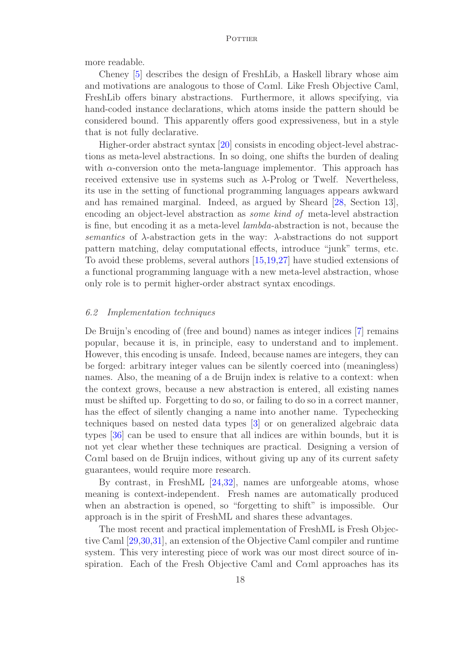more readable.

Cheney [5] describes the design of FreshLib, a Haskell library whose aim and motivations are analogous to those of Cαml. Like Fresh Objective Caml, FreshLib offers binary abstractions. Furthermore, it allows specifying, via hand-coded instance declarations, which atoms inside the pattern should be considered bound. This apparently offers good expressiveness, but in a style that is not fully declarative.

Higher-order abstract syntax [20] consists in encoding object-level abstractions as meta-level abstractions. In so doing, one shifts the burden of dealing with  $\alpha$ -conversion onto the meta-language implementor. This approach has received extensive use in systems such as  $\lambda$ -Prolog or Twelf. Nevertheless, its use in the setting of functional programming languages appears awkward and has remained marginal. Indeed, as argued by Sheard [28, Section 13], encoding an object-level abstraction as *some kind of* meta-level abstraction is fine, but encoding it as a meta-level *lambda*-abstraction is not, because the *semantics* of  $\lambda$ -abstraction gets in the way:  $\lambda$ -abstractions do not support pattern matching, delay computational effects, introduce "junk" terms, etc. To avoid these problems, several authors [15,19,27] have studied extensions of a functional programming language with a new meta-level abstraction, whose only role is to permit higher-order abstract syntax encodings.

#### *6.2 Implementation techniques*

De Bruijn's encoding of (free and bound) names as integer indices [7] remains popular, because it is, in principle, easy to understand and to implement. However, this encoding is unsafe. Indeed, because names are integers, they can be forged: arbitrary integer values can be silently coerced into (meaningless) names. Also, the meaning of a de Bruijn index is relative to a context: when the context grows, because a new abstraction is entered, all existing names must be shifted up. Forgetting to do so, or failing to do so in a correct manner, has the effect of silently changing a name into another name. Typechecking techniques based on nested data types [3] or on generalized algebraic data types [36] can be used to ensure that all indices are within bounds, but it is not yet clear whether these techniques are practical. Designing a version of Cαml based on de Bruijn indices, without giving up any of its current safety guarantees, would require more research.

By contrast, in FreshML [24,32], names are unforgeable atoms, whose meaning is context-independent. Fresh names are automatically produced when an abstraction is opened, so "forgetting to shift" is impossible. Our approach is in the spirit of FreshML and shares these advantages.

The most recent and practical implementation of FreshML is Fresh Objective Caml [29,30,31], an extension of the Objective Caml compiler and runtime system. This very interesting piece of work was our most direct source of inspiration. Each of the Fresh Objective Caml and Cαml approaches has its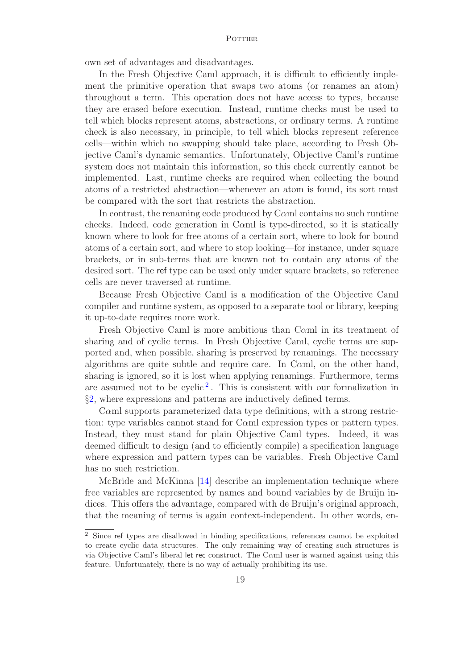own set of advantages and disadvantages.

In the Fresh Objective Caml approach, it is difficult to efficiently implement the primitive operation that swaps two atoms (or renames an atom) throughout a term. This operation does not have access to types, because they are erased before execution. Instead, runtime checks must be used to tell which blocks represent atoms, abstractions, or ordinary terms. A runtime check is also necessary, in principle, to tell which blocks represent reference cells—within which no swapping should take place, according to Fresh Objective Caml's dynamic semantics. Unfortunately, Objective Caml's runtime system does not maintain this information, so this check currently cannot be implemented. Last, runtime checks are required when collecting the bound atoms of a restricted abstraction—whenever an atom is found, its sort must be compared with the sort that restricts the abstraction.

In contrast, the renaming code produced by Cαml contains no such runtime checks. Indeed, code generation in Cαml is type-directed, so it is statically known where to look for free atoms of a certain sort, where to look for bound atoms of a certain sort, and where to stop looking—for instance, under square brackets, or in sub-terms that are known not to contain any atoms of the desired sort. The ref type can be used only under square brackets, so reference cells are never traversed at runtime.

Because Fresh Objective Caml is a modification of the Objective Caml compiler and runtime system, as opposed to a separate tool or library, keeping it up-to-date requires more work.

Fresh Objective Caml is more ambitious than Cαml in its treatment of sharing and of cyclic terms. In Fresh Objective Caml, cyclic terms are supported and, when possible, sharing is preserved by renamings. The necessary algorithms are quite subtle and require care. In Cαml, on the other hand, sharing is ignored, so it is lost when applying renamings. Furthermore, terms are assumed not to be cyclic<sup>2</sup>. This is consistent with our formalization in §2, where expressions and patterns are inductively defined terms.

Cαml supports parameterized data type definitions, with a strong restriction: type variables cannot stand for Cαml expression types or pattern types. Instead, they must stand for plain Objective Caml types. Indeed, it was deemed difficult to design (and to efficiently compile) a specification language where expression and pattern types can be variables. Fresh Objective Caml has no such restriction.

McBride and McKinna [14] describe an implementation technique where free variables are represented by names and bound variables by de Bruijn indices. This offers the advantage, compared with de Bruijn's original approach, that the meaning of terms is again context-independent. In other words, en-

<sup>2</sup> Since ref types are disallowed in binding specifications, references cannot be exploited to create cyclic data structures. The only remaining way of creating such structures is via Objective Caml's liberal let rec construct. The Cαml user is warned against using this feature. Unfortunately, there is no way of actually prohibiting its use.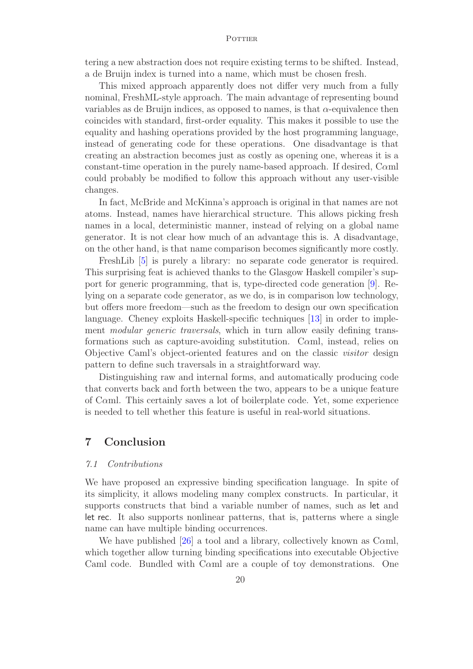tering a new abstraction does not require existing terms to be shifted. Instead, a de Bruijn index is turned into a name, which must be chosen fresh.

This mixed approach apparently does not differ very much from a fully nominal, FreshML-style approach. The main advantage of representing bound variables as de Bruijn indices, as opposed to names, is that  $\alpha$ -equivalence then coincides with standard, first-order equality. This makes it possible to use the equality and hashing operations provided by the host programming language, instead of generating code for these operations. One disadvantage is that creating an abstraction becomes just as costly as opening one, whereas it is a constant-time operation in the purely name-based approach. If desired, Cαml could probably be modified to follow this approach without any user-visible changes.

In fact, McBride and McKinna's approach is original in that names are not atoms. Instead, names have hierarchical structure. This allows picking fresh names in a local, deterministic manner, instead of relying on a global name generator. It is not clear how much of an advantage this is. A disadvantage, on the other hand, is that name comparison becomes significantly more costly.

FreshLib [5] is purely a library: no separate code generator is required. This surprising feat is achieved thanks to the Glasgow Haskell compiler's support for generic programming, that is, type-directed code generation [9]. Relying on a separate code generator, as we do, is in comparison low technology, but offers more freedom—such as the freedom to design our own specification language. Cheney exploits Haskell-specific techniques [13] in order to implement *modular generic traversals*, which in turn allow easily defining transformations such as capture-avoiding substitution. Cαml, instead, relies on Objective Caml's object-oriented features and on the classic *visitor* design pattern to define such traversals in a straightforward way.

Distinguishing raw and internal forms, and automatically producing code that converts back and forth between the two, appears to be a unique feature of Cαml. This certainly saves a lot of boilerplate code. Yet, some experience is needed to tell whether this feature is useful in real-world situations.

### 7 Conclusion

#### *7.1 Contributions*

We have proposed an expressive binding specification language. In spite of its simplicity, it allows modeling many complex constructs. In particular, it supports constructs that bind a variable number of names, such as let and let rec. It also supports nonlinear patterns, that is, patterns where a single name can have multiple binding occurrences.

We have published [26] a tool and a library, collectively known as C $\alpha$ ml, which together allow turning binding specifications into executable Objective Caml code. Bundled with Caml are a couple of toy demonstrations. One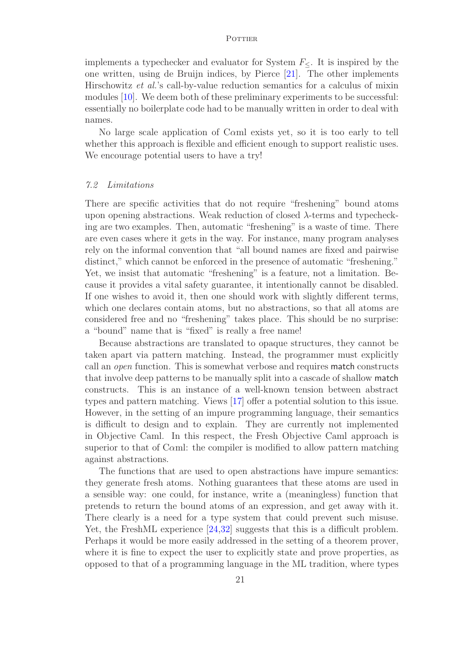implements a typechecker and evaluator for System  $F_{\leq}$ . It is inspired by the one written, using de Bruijn indices, by Pierce [21]. The other implements Hirschowitz *et al.*'s call-by-value reduction semantics for a calculus of mixin modules [10]. We deem both of these preliminary experiments to be successful: essentially no boilerplate code had to be manually written in order to deal with names.

No large scale application of Cαml exists yet, so it is too early to tell whether this approach is flexible and efficient enough to support realistic uses. We encourage potential users to have a try!

#### *7.2 Limitations*

There are specific activities that do not require "freshening" bound atoms upon opening abstractions. Weak reduction of closed  $\lambda$ -terms and typechecking are two examples. Then, automatic "freshening" is a waste of time. There are even cases where it gets in the way. For instance, many program analyses rely on the informal convention that "all bound names are fixed and pairwise distinct," which cannot be enforced in the presence of automatic "freshening." Yet, we insist that automatic "freshening" is a feature, not a limitation. Because it provides a vital safety guarantee, it intentionally cannot be disabled. If one wishes to avoid it, then one should work with slightly different terms, which one declares contain atoms, but no abstractions, so that all atoms are considered free and no "freshening" takes place. This should be no surprise: a "bound" name that is "fixed" is really a free name!

Because abstractions are translated to opaque structures, they cannot be taken apart via pattern matching. Instead, the programmer must explicitly call an *open* function. This is somewhat verbose and requires match constructs that involve deep patterns to be manually split into a cascade of shallow match constructs. This is an instance of a well-known tension between abstract types and pattern matching. Views [17] offer a potential solution to this issue. However, in the setting of an impure programming language, their semantics is difficult to design and to explain. They are currently not implemented in Objective Caml. In this respect, the Fresh Objective Caml approach is superior to that of Cαml: the compiler is modified to allow pattern matching against abstractions.

The functions that are used to open abstractions have impure semantics: they generate fresh atoms. Nothing guarantees that these atoms are used in a sensible way: one could, for instance, write a (meaningless) function that pretends to return the bound atoms of an expression, and get away with it. There clearly is a need for a type system that could prevent such misuse. Yet, the FreshML experience [24,32] suggests that this is a difficult problem. Perhaps it would be more easily addressed in the setting of a theorem prover, where it is fine to expect the user to explicitly state and prove properties, as opposed to that of a programming language in the ML tradition, where types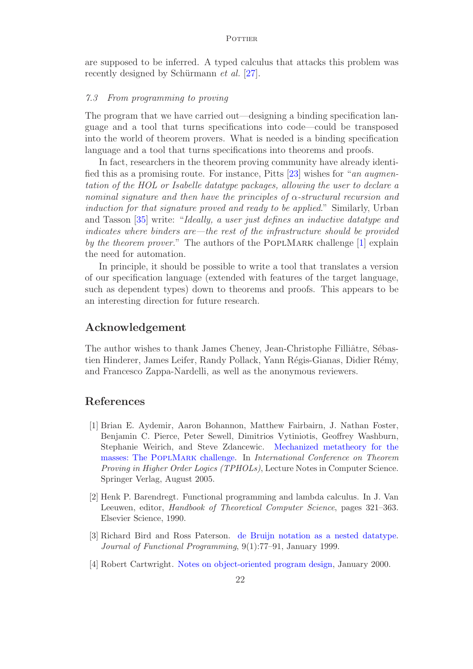are supposed to be inferred. A typed calculus that attacks this problem was recently designed by Schürmann *et al.* [27].

#### *7.3 From programming to proving*

The program that we have carried out—designing a binding specification language and a tool that turns specifications into code—could be transposed into the world of theorem provers. What is needed is a binding specification language and a tool that turns specifications into theorems and proofs.

In fact, researchers in the theorem proving community have already identified this as a promising route. For instance, Pitts [23] wishes for "*an augmentation of the HOL or Isabelle datatype packages, allowing the user to declare a nominal signature and then have the principles of* α*-structural recursion and induction for that signature proved and ready to be applied*." Similarly, Urban and Tasson [35] write: "*Ideally, a user just defines an inductive datatype and indicates where binders are—the rest of the infrastructure should be provided by the theorem prover.*" The authors of the POPLMARK challenge [1] explain the need for automation.

In principle, it should be possible to write a tool that translates a version of our specification language (extended with features of the target language, such as dependent types) down to theorems and proofs. This appears to be an interesting direction for future research.

### Acknowledgement

The author wishes to thank James Cheney, Jean-Christophe Filliâtre, Sébastien Hinderer, James Leifer, Randy Pollack, Yann Régis-Gianas, Didier Rémy, and Francesco Zappa-Nardelli, as well as the anonymous reviewers.

### References

- [1] Brian E. Aydemir, Aaron Bohannon, Matthew Fairbairn, J. Nathan Foster, Benjamin C. Pierce, Peter Sewell, Dimitrios Vytiniotis, Geoffrey Washburn, Stephanie Weirich, and Steve Zdancewic. Mechanized metatheory for the masses: The PoplMark challenge. In *International Conference on Theorem Proving in Higher Order Logics (TPHOLs)*, Lecture Notes in Computer Science. Springer Verlag, August 2005.
- [2] Henk P. Barendregt. Functional programming and lambda calculus. In J. Van Leeuwen, editor, *Handbook of Theoretical Computer Science*, pages 321–363. Elsevier Science, 1990.
- [3] Richard Bird and Ross Paterson. de Bruijn notation as a nested datatype. *Journal of Functional Programming*, 9(1):77–91, January 1999.
- [4] Robert Cartwright. Notes on object-oriented program design, January 2000.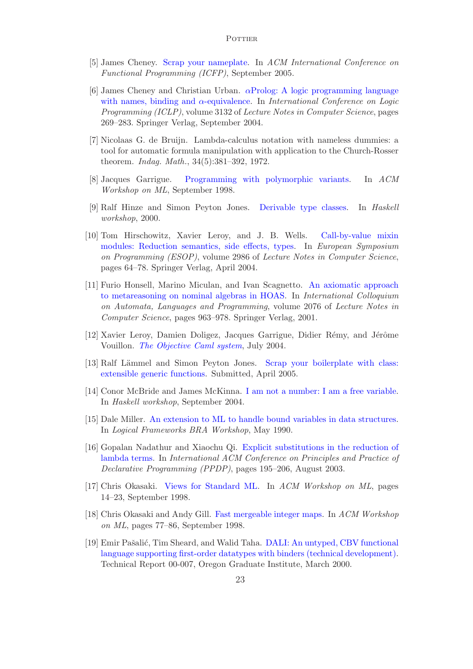- [5] James Cheney. Scrap your nameplate. In *ACM International Conference on Functional Programming (ICFP)*, September 2005.
- [6] James Cheney and Christian Urban.  $\alpha$ Prolog: A logic programming language with names, binding and α-equivalence. In *International Conference on Logic Programming (ICLP)*, volume 3132 of *Lecture Notes in Computer Science*, pages 269–283. Springer Verlag, September 2004.
- [7] Nicolaas G. de Bruijn. Lambda-calculus notation with nameless dummies: a tool for automatic formula manipulation with application to the Church-Rosser theorem. *Indag. Math.*, 34(5):381–392, 1972.
- [8] Jacques Garrigue. Programming with polymorphic variants. In *ACM Workshop on ML*, September 1998.
- [9] Ralf Hinze and Simon Peyton Jones. Derivable type classes. In *Haskell workshop*, 2000.
- [10] Tom Hirschowitz, Xavier Leroy, and J. B. Wells. Call-by-value mixin modules: Reduction semantics, side effects, types. In *European Symposium on Programming (ESOP)*, volume 2986 of *Lecture Notes in Computer Science*, pages 64–78. Springer Verlag, April 2004.
- [11] Furio Honsell, Marino Miculan, and Ivan Scagnetto. An axiomatic approach to metareasoning on nominal algebras in HOAS. In *International Colloquium on Automata, Languages and Programming*, volume 2076 of *Lecture Notes in Computer Science*, pages 963–978. Springer Verlag, 2001.
- [12] Xavier Leroy, Damien Doligez, Jacques Garrigue, Didier Rémy, and Jérôme Vouillon. *The Objective Caml system*, July 2004.
- [13] Ralf Lämmel and Simon Peyton Jones. Scrap your boilerplate with class: extensible generic functions. Submitted, April 2005.
- [14] Conor McBride and James McKinna. I am not a number: I am a free variable. In *Haskell workshop*, September 2004.
- [15] Dale Miller. An extension to ML to handle bound variables in data structures. In *Logical Frameworks BRA Workshop*, May 1990.
- [16] Gopalan Nadathur and Xiaochu Qi. Explicit substitutions in the reduction of lambda terms. In *International ACM Conference on Principles and Practice of Declarative Programming (PPDP)*, pages 195–206, August 2003.
- [17] Chris Okasaki. Views for Standard ML. In *ACM Workshop on ML*, pages 14–23, September 1998.
- [18] Chris Okasaki and Andy Gill. Fast mergeable integer maps. In *ACM Workshop on ML*, pages 77–86, September 1998.
- [19] Emir Pašalić, Tim Sheard, and Walid Taha. DALI: An untyped, CBV functional language supporting first-order datatypes with binders (technical development). Technical Report 00-007, Oregon Graduate Institute, March 2000.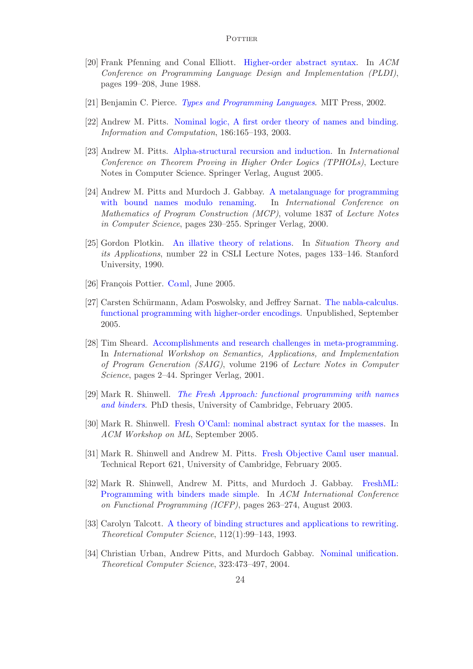- [20] Frank Pfenning and Conal Elliott. Higher-order abstract syntax. In *ACM Conference on Programming Language Design and Implementation (PLDI)*, pages 199–208, June 1988.
- [21] Benjamin C. Pierce. *Types and Programming Languages*. MIT Press, 2002.
- [22] Andrew M. Pitts. Nominal logic, A first order theory of names and binding. *Information and Computation*, 186:165–193, 2003.
- [23] Andrew M. Pitts. Alpha-structural recursion and induction. In *International Conference on Theorem Proving in Higher Order Logics (TPHOLs)*, Lecture Notes in Computer Science. Springer Verlag, August 2005.
- [24] Andrew M. Pitts and Murdoch J. Gabbay. A metalanguage for programming with bound names modulo renaming. In *International Conference on Mathematics of Program Construction (MCP)*, volume 1837 of *Lecture Notes in Computer Science*, pages 230–255. Springer Verlag, 2000.
- [25] Gordon Plotkin. An illative theory of relations. In *Situation Theory and its Applications*, number 22 in CSLI Lecture Notes, pages 133–146. Stanford University, 1990.
- [26] François Pottier. C $\alpha$ ml, June 2005.
- [27] Carsten Schürmann, Adam Poswolsky, and Jeffrey Sarnat. The nabla-calculus. functional programming with higher-order encodings. Unpublished, September 2005.
- [28] Tim Sheard. Accomplishments and research challenges in meta-programming. In *International Workshop on Semantics, Applications, and Implementation of Program Generation (SAIG)*, volume 2196 of *Lecture Notes in Computer Science*, pages 2–44. Springer Verlag, 2001.
- [29] Mark R. Shinwell. *The Fresh Approach: functional programming with names and binders*. PhD thesis, University of Cambridge, February 2005.
- [30] Mark R. Shinwell. Fresh O'Caml: nominal abstract syntax for the masses. In *ACM Workshop on ML*, September 2005.
- [31] Mark R. Shinwell and Andrew M. Pitts. Fresh Objective Caml user manual. Technical Report 621, University of Cambridge, February 2005.
- [32] Mark R. Shinwell, Andrew M. Pitts, and Murdoch J. Gabbay. FreshML: Programming with binders made simple. In *ACM International Conference on Functional Programming (ICFP)*, pages 263–274, August 2003.
- [33] Carolyn Talcott. A theory of binding structures and applications to rewriting. *Theoretical Computer Science*, 112(1):99–143, 1993.
- [34] Christian Urban, Andrew Pitts, and Murdoch Gabbay. Nominal unification. *Theoretical Computer Science*, 323:473–497, 2004.